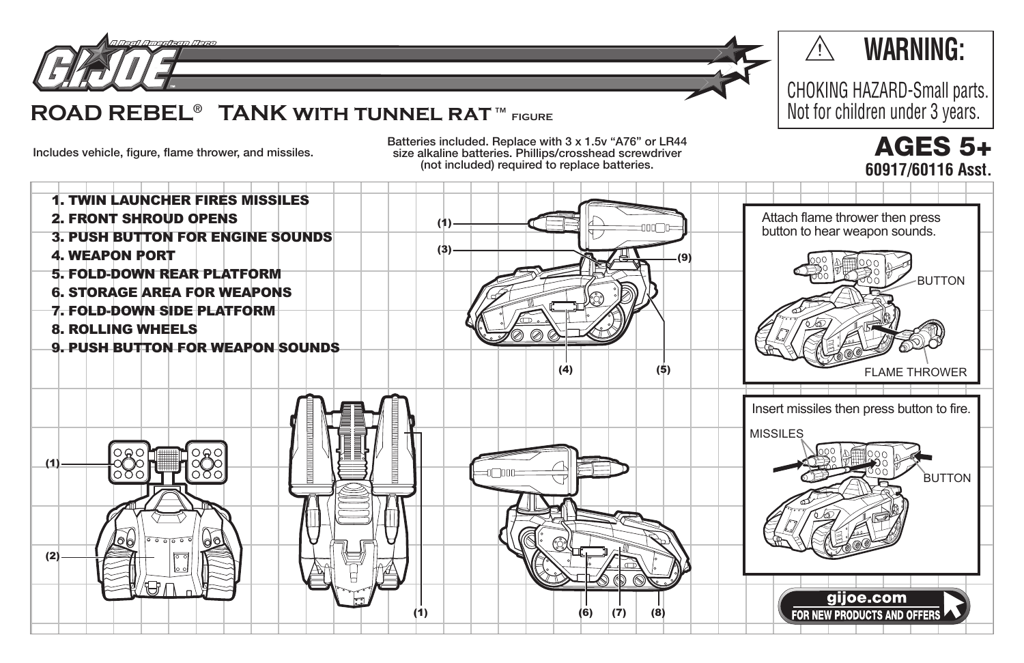